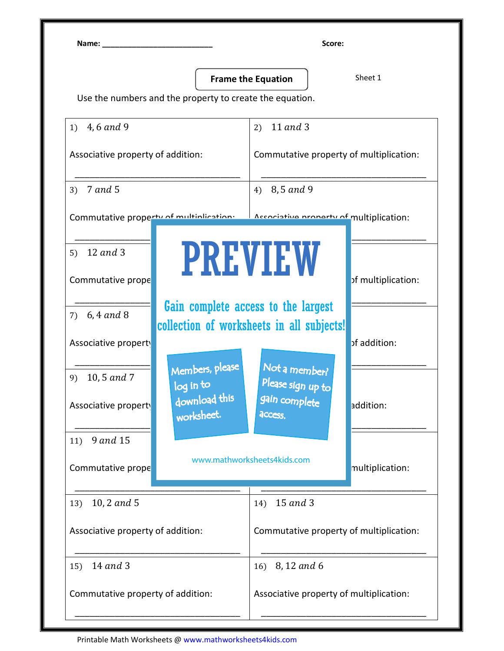Name: \_\_\_\_\_\_\_\_\_\_\_\_\_\_\_\_\_\_\_\_\_\_\_\_\_\_ Score: Use the numbers and the property to create the equation. 1)  $4, 6$  and 9 Associative property of addition: \_\_\_\_\_\_\_\_\_\_\_\_\_\_\_\_\_\_\_\_\_\_\_\_\_\_\_\_\_\_\_\_\_ 2)  $11$  and 3 Commutative property of multiplication: \_\_\_\_\_\_\_\_\_\_\_\_\_\_\_\_\_\_\_\_\_\_\_\_\_\_\_\_\_\_\_\_\_ 3)  $7$  and 5 Commutative property of multiplication: Associative property of multiplication: \_\_\_\_\_\_\_\_\_\_\_\_\_\_\_\_\_\_\_\_\_\_\_\_\_\_\_\_\_\_\_\_\_ 4)  $8, 5$  and 9  $\blacksquare$ 5)  $12$  and 3 Commutative prope  $\blacksquare$ 7 H 1 2 W of multiplication: 7)  $6, 4$  and 8 Associative property \_\_\_\_\_\_\_\_\_\_\_\_\_\_\_\_\_\_\_\_\_\_\_\_\_\_\_\_\_\_\_\_\_ Members, please Gain complete access to the largest  $\mathsf{b}$  addition:  $\overline{\mathbf{M}}$  , and the set of the set of the set of the set of the set of the set of the set of the set of the set of the set of the set of the set of the set of the set of the set of the set of the set of the set of the s 9)  $10, 5$  and 7 Associative property  $\blacksquare$  $P$  Please sign up to gain complete de addition:  $\frac{1}{2}$  ,  $\frac{1}{2}$  ,  $\frac{1}{2}$  ,  $\frac{1}{2}$  ,  $\frac{1}{2}$  ,  $\frac{1}{2}$  ,  $\frac{1}{2}$  ,  $\frac{1}{2}$  ,  $\frac{1}{2}$  ,  $\frac{1}{2}$  ,  $\frac{1}{2}$  ,  $\frac{1}{2}$  ,  $\frac{1}{2}$  ,  $\frac{1}{2}$  ,  $\frac{1}{2}$  ,  $\frac{1}{2}$  ,  $\frac{1}{2}$  ,  $\frac{1}{2}$  ,  $\frac{1$ 11)  $9$  and 15 Commutative prope \_\_\_\_\_\_\_\_\_\_\_\_\_\_\_\_\_\_\_\_\_\_\_\_\_\_\_\_\_\_\_\_\_ 12) 12, 4 **11, 4 12, 4 12, 4 12, 4 12, 4 12, 4 12, 4** 12, 4 12, 4 12, 4 12, 4 12, 4 12, 4 12, 4 12, 4 12, 4 12, 4 multiplication:  $\frac{1}{2}$  , and the set of the set of the set of the set of the set of the set of the set of the set of the set of the set of the set of the set of the set of the set of the set of the set of the set of the set of the set 13)  $10, 2$  and 5 Associative property of addition: \_\_\_\_\_\_\_\_\_\_\_\_\_\_\_\_\_\_\_\_\_\_\_\_\_\_\_\_\_\_\_\_\_ 14)  $15$  and 3 Commutative property of multiplication: \_\_\_\_\_\_\_\_\_\_\_\_\_\_\_\_\_\_\_\_\_\_\_\_\_\_\_\_\_\_\_\_\_ 15)  $14$  and 3 Commutative property of addition: \_\_\_\_\_\_\_\_\_\_\_\_\_\_\_\_\_\_\_\_\_\_\_\_\_\_\_\_\_\_\_\_\_ 16) 8, 12 and 6 Associative property of multiplication: \_\_\_\_\_\_\_\_\_\_\_\_\_\_\_\_\_\_\_\_\_\_\_\_\_\_\_\_\_\_\_\_\_ Frame the Equation  $\vert$  Sheet 1 PREVIEW www.mathworksheets4kids.com download this worksheet. log in to Not a member? access. collection of worksheets in all subjects!

Printable Math Worksheets @ www.mathworksheets4kids.com